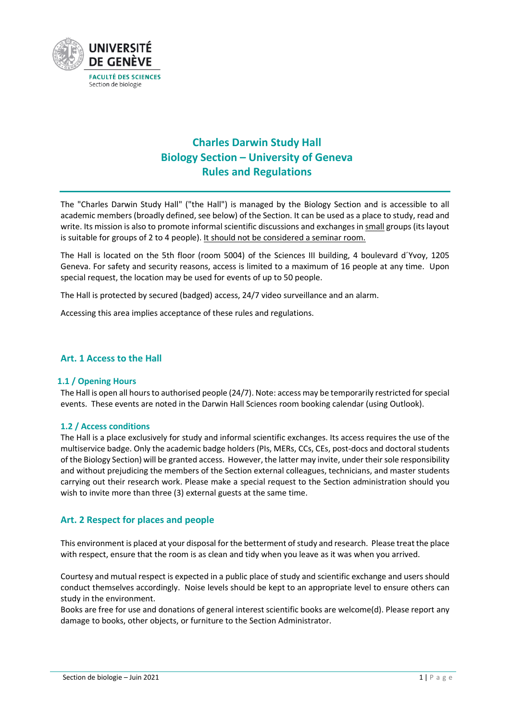

# **Charles Darwin Study Hall Biology Section – University of Geneva Rules and Regulations**

The "Charles Darwin Study Hall" ("the Hall") is managed by the Biology Section and is accessible to all academic members (broadly defined, see below) of the Section. It can be used as a place to study, read and write. Its mission is also to promote informal scientific discussions and exchanges in small groups (its layout is suitable for groups of 2 to 4 people). It should not be considered a seminar room.

The Hall is located on the 5th floor (room 5004) of the Sciences III building, 4 boulevard d´Yvoy, 1205 Geneva. For safety and security reasons, access is limited to a maximum of 16 people at any time. Upon special request, the location may be used for events of up to 50 people.

The Hall is protected by secured (badged) access, 24/7 video surveillance and an alarm.

Accessing this area implies acceptance of these rules and regulations.

### **Art. 1 Access to the Hall**

#### **1.1 / Opening Hours**

The Hall is open all hours to authorised people (24/7). Note: access may be temporarily restricted for special events. These events are noted in the Darwin Hall Sciences room booking calendar (using Outlook).

#### **1.2 / Access conditions**

The Hall is a place exclusively for study and informal scientific exchanges. Its access requires the use of the multiservice badge. Only the academic badge holders (PIs, MERs, CCs, CEs, post-docs and doctoral students of the Biology Section) will be granted access. However, the latter may invite, under their sole responsibility and without prejudicing the members of the Section external colleagues, technicians, and master students carrying out their research work. Please make a special request to the Section administration should you wish to invite more than three (3) external guests at the same time.

## **Art. 2 Respect for places and people**

This environment is placed at your disposal for the betterment of study and research. Please treat the place with respect, ensure that the room is as clean and tidy when you leave as it was when you arrived.

Courtesy and mutual respect is expected in a public place of study and scientific exchange and users should conduct themselves accordingly. Noise levels should be kept to an appropriate level to ensure others can study in the environment.

Books are free for use and donations of general interest scientific books are welcome(d). Please report any damage to books, other objects, or furniture to the Section Administrator.